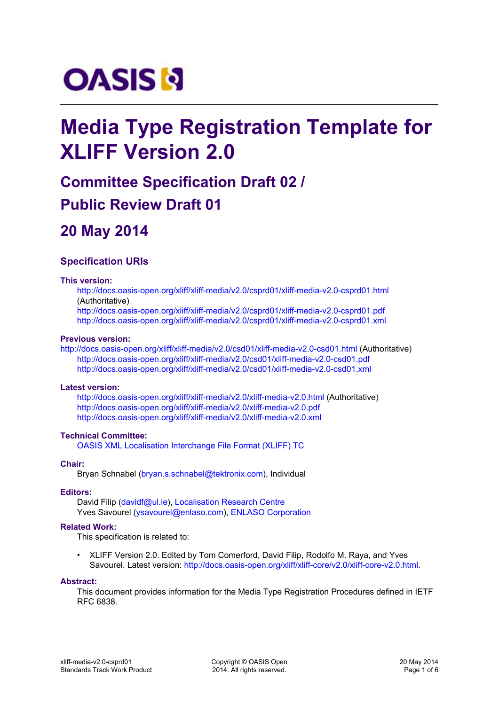# **OASIS N**

# **Media Type Registration Template for XLIFF Version 2.0**

# **Committee Specification Draft 02 / Public Review Draft 01**

### **20 May 2014**

#### **Specification URIs**

#### **This version:**

<http://docs.oasis-open.org/xliff/xliff-media/v2.0/csprd01/xliff-media-v2.0-csprd01.html> (Authoritative)

<http://docs.oasis-open.org/xliff/xliff-media/v2.0/csprd01/xliff-media-v2.0-csprd01.pdf> <http://docs.oasis-open.org/xliff/xliff-media/v2.0/csprd01/xliff-media-v2.0-csprd01.xml>

#### **Previous version:**

http:[//docs.oasis-open.org/xliff/xliff-media/v2.0/csd01/xliff-media-v2.0-csd01.html \(Aut](http://docs.oasis-open.org/xliff/xliff-media/v2.0/csd01/xliff-media-v2.0-csd01.html)horitative) <http://docs.oasis-open.org/xliff/xliff-media/v2.0/csd01/xliff-media-v2.0-csd01.pdf> <http://docs.oasis-open.org/xliff/xliff-media/v2.0/csd01/xliff-media-v2.0-csd01.xml>

#### **Latest version:**

<http://docs.oasis-open.org/xliff/xliff-media/v2.0/xliff-media-v2.0.html>(Authoritative) <http://docs.oasis-open.org/xliff/xliff-media/v2.0/xliff-media-v2.0.pdf> <http://docs.oasis-open.org/xliff/xliff-media/v2.0/xliff-media-v2.0.xml>

#### **Technical Committee:**

[OASIS XML Localisation Interchange File Format \(XLIFF\) TC](https://www.oasis-open.org/committees/xliff/)

#### **Chair:**

Bryan Schnabel ([bryan.s.schnabel@tektronix.com\)](mailto:bryan.s.schnabel@tektronix.com), Individual

#### **Editors:**

David Filip ([davidf@ul.ie\)](mailto:davidf@ul.ie), [Localisation Research Centre](http://www.localisation.ie/) Yves Savourel ([ysavourel@enlaso.com\)](mailto:ysavourel@enlaso.com), [ENLASO Corporation](http://www.enlaso.com/)

#### **Related Work:**

This specification is related to:

• XLIFF Version 2.0. Edited by Tom Comerford, David Filip, Rodolfo M. Raya, and Yves Savourel. Latest version: http://docs.oasis-open.org/xliff/xliff-core/v2.0/xliff-core-v2.0.html.

#### **Abstract:**

This document provides information for the Media Type Registration Procedures defined in IETF RFC 6838.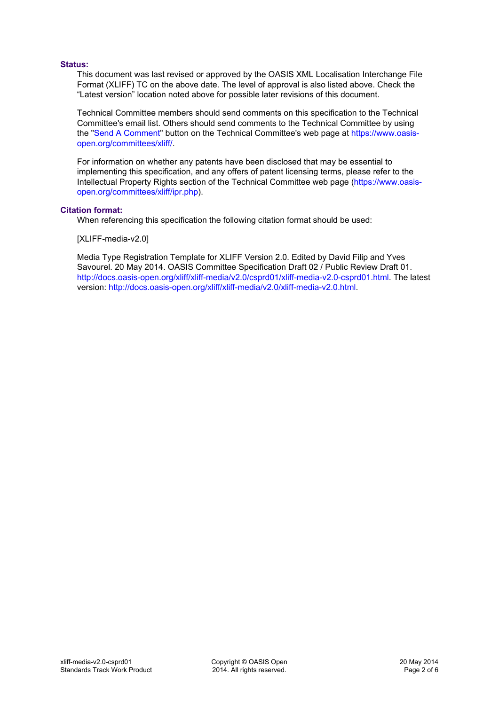#### **Status:**

This document was last revised or approved by the OASIS XML Localisation Interchange File Format (XLIFF) TC on the above date. The level of approval is also listed above. Check the "Latest version" location noted above for possible later revisions of this document.

Technical Committee members should send comments on this specification to the Technical Committee's email list. Others should send comments to the Technical Committee by using the ["Send A Comment](https://www.oasis-open.org/committees/comments/index.php?wg_abbrev=xliff)" button on the Technical Committee's web page at [https://www.oasis](https://www.oasis-open.org/committees/xliff/)[open.org/committees/xliff/.](https://www.oasis-open.org/committees/xliff/)

For information on whether any patents have been disclosed that may be essential to implementing this specification, and any offers of patent licensing terms, please refer to the Intellectual Property Rights section of the Technical Committee web page [\(https://www.oasis](https://www.oasis-open.org/committees/xliff/ipr.php)[open.org/committees/xliff/ipr.php](https://www.oasis-open.org/committees/xliff/ipr.php)).

#### **Citation format:**

When referencing this specification the following citation format should be used:

[XLIFF-media-v2.0]

Media Type Registration Template for XLIFF Version 2.0. Edited by David Filip and Yves Savourel. 20 May 2014. OASIS Committee Specification Draft 02 / Public Review Draft 01. <http://docs.oasis-open.org/xliff/xliff-media/v2.0/csprd01/xliff-media-v2.0-csprd01.html>. The latest version: [http://docs.oasis-open.org/xliff/xliff-media/v2.0/xliff-media-v2.0.html.](http://docs.oasis-open.org/xliff/xliff-media/v2.0/xliff-media-v2.0.html)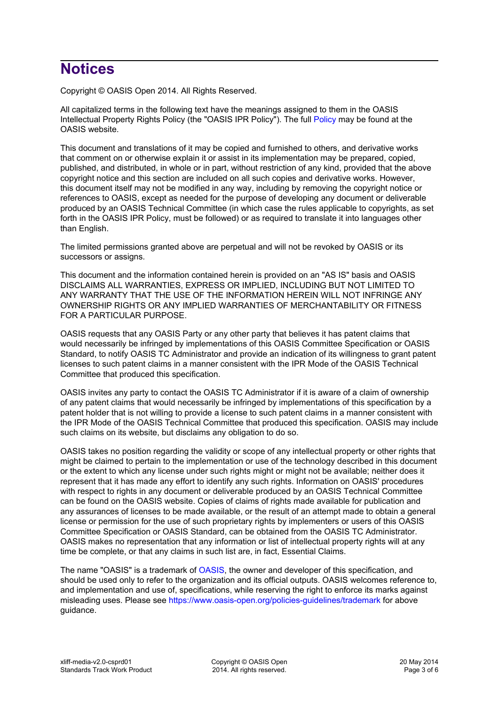## **Notices**

Copyright © OASIS Open 2014. All Rights Reserved.

All capitalized terms in the following text have the meanings assigned to them in the OASIS Intellectual Property Rights Policy (the "OASIS IPR Policy"). The full [Policy](https://www.oasis-open.org/policies-guidelines/ipr) may be found at the OASIS website.

This document and translations of it may be copied and furnished to others, and derivative works that comment on or otherwise explain it or assist in its implementation may be prepared, copied, published, and distributed, in whole or in part, without restriction of any kind, provided that the above copyright notice and this section are included on all such copies and derivative works. However, this document itself may not be modified in any way, including by removing the copyright notice or references to OASIS, except as needed for the purpose of developing any document or deliverable produced by an OASIS Technical Committee (in which case the rules applicable to copyrights, as set forth in the OASIS IPR Policy, must be followed) or as required to translate it into languages other than English.

The limited permissions granted above are perpetual and will not be revoked by OASIS or its successors or assigns.

This document and the information contained herein is provided on an "AS IS" basis and OASIS DISCLAIMS ALL WARRANTIES, EXPRESS OR IMPLIED, INCLUDING BUT NOT LIMITED TO ANY WARRANTY THAT THE USE OF THE INFORMATION HEREIN WILL NOT INFRINGE ANY OWNERSHIP RIGHTS OR ANY IMPLIED WARRANTIES OF MERCHANTABILITY OR FITNESS FOR A PARTICULAR PURPOSE.

OASIS requests that any OASIS Party or any other party that believes it has patent claims that would necessarily be infringed by implementations of this OASIS Committee Specification or OASIS Standard, to notify OASIS TC Administrator and provide an indication of its willingness to grant patent licenses to such patent claims in a manner consistent with the IPR Mode of the OASIS Technical Committee that produced this specification.

OASIS invites any party to contact the OASIS TC Administrator if it is aware of a claim of ownership of any patent claims that would necessarily be infringed by implementations of this specification by a patent holder that is not willing to provide a license to such patent claims in a manner consistent with the IPR Mode of the OASIS Technical Committee that produced this specification. OASIS may include such claims on its website, but disclaims any obligation to do so.

OASIS takes no position regarding the validity or scope of any intellectual property or other rights that might be claimed to pertain to the implementation or use of the technology described in this document or the extent to which any license under such rights might or might not be available; neither does it represent that it has made any effort to identify any such rights. Information on OASIS' procedures with respect to rights in any document or deliverable produced by an OASIS Technical Committee can be found on the OASIS website. Copies of claims of rights made available for publication and any assurances of licenses to be made available, or the result of an attempt made to obtain a general license or permission for the use of such proprietary rights by implementers or users of this OASIS Committee Specification or OASIS Standard, can be obtained from the OASIS TC Administrator. OASIS makes no representation that any information or list of intellectual property rights will at any time be complete, or that any claims in such list are, in fact, Essential Claims.

The name "OASIS" is a trademark of [OASIS,](https://www.oasis-open.org) the owner and developer of this specification, and should be used only to refer to the organization and its official outputs. OASIS welcomes reference to, and implementation and use of, specifications, while reserving the right to enforce its marks against misleading uses. Please see<https://www.oasis-open.org/policies-guidelines/trademark> for above guidance.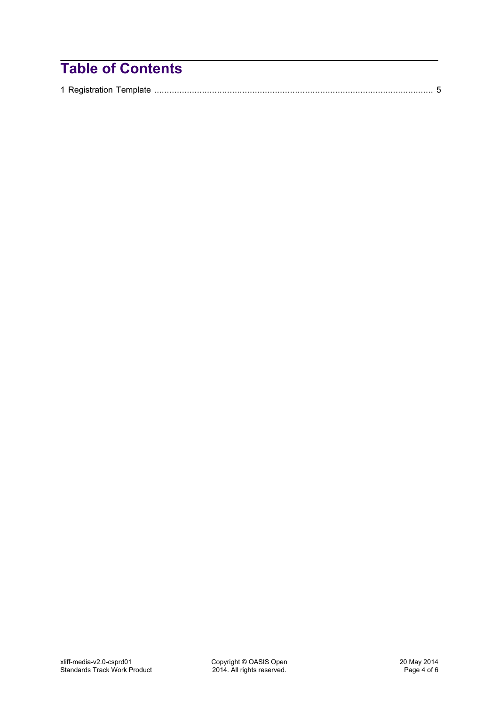# **Table of Contents**

|--|--|--|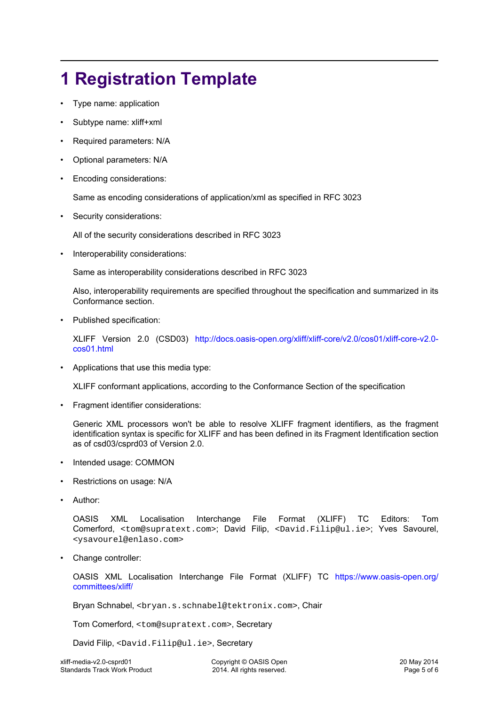# <span id="page-4-0"></span>**1 Registration Template**

- Type name: application
- Subtype name: xliff+xml
- Required parameters: N/A
- Optional parameters: N/A
- Encoding considerations:

Same as encoding considerations of application/xml as specified in RFC 3023

Security considerations:

All of the security considerations described in RFC 3023

• Interoperability considerations:

Same as interoperability considerations described in RFC 3023

Also, interoperability requirements are specified throughout the specification and summarized in its Conformance section.

Published specification:

XLIFF Version 2.0 (CSD03) [http://docs.oasis-open.org/xliff/xliff-core/v2.0/cos01/xliff-core-v2.0](http://docs.oasis-open.org/xliff/xliff-core/v2.0/cos01/xliff-core-v2.0-cos01.html) [cos01.html](http://docs.oasis-open.org/xliff/xliff-core/v2.0/cos01/xliff-core-v2.0-cos01.html)

• Applications that use this media type:

XLIFF conformant applications, according to the Conformance Section of the specification

• Fragment identifier considerations:

Generic XML processors won't be able to resolve XLIFF fragment identifiers, as the fragment identification syntax is specific for XLIFF and has been defined in its Fragment Identification section as of csd03/csprd03 of Version 2.0.

- Intended usage: COMMON
- Restrictions on usage: N/A
- Author:

OASIS XML Localisation Interchange File Format (XLIFF) TC Editors: Tom Comerford, <tom@supratext.com>; David Filip, <David.Filip@ul.ie>; Yves Savourel, <ysavourel@enlaso.com>

Change controller:

OASIS XML Localisation Interchange File Format (XLIFF) TC [https://www.oasis-open.org/](https://www.oasis-open.org/committees/xliff/) [committees/xliff/](https://www.oasis-open.org/committees/xliff/)

Bryan Schnabel, <bryan.s.schnabel@tektronix.com>, Chair

Tom Comerford, <tom@supratext.com>, Secretary

David Filip, <David.Filip@ul.ie>, Secretary